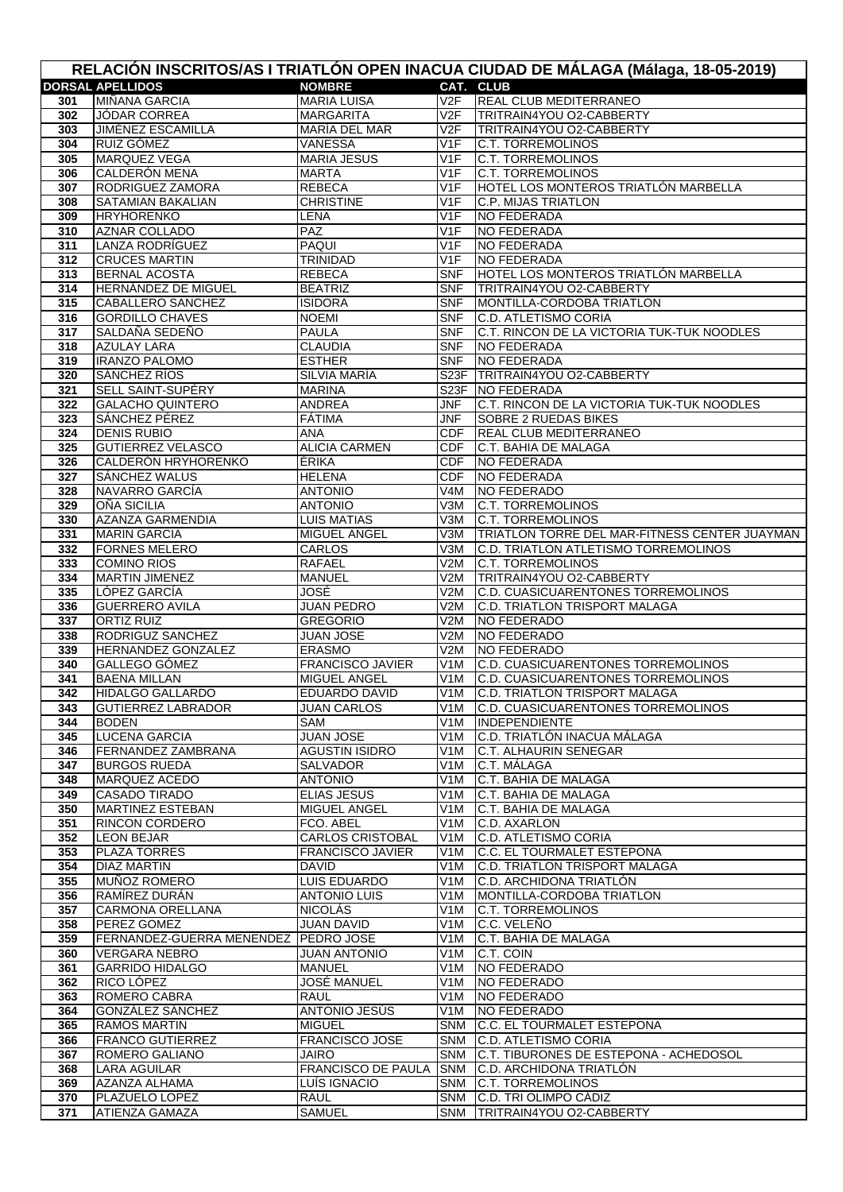| RELACIÓN INSCRITOS/AS I TRIATLÓN OPEN INACUA CIUDAD DE MÁLAGA (Málaga, 18-05-2019) |                                                      |                                      |                                  |                                                                             |  |  |  |
|------------------------------------------------------------------------------------|------------------------------------------------------|--------------------------------------|----------------------------------|-----------------------------------------------------------------------------|--|--|--|
|                                                                                    | <b>DORSAL APELLIDOS</b>                              | <b>NOMBRE</b>                        |                                  | CAT. CLUB                                                                   |  |  |  |
| 301                                                                                | <b>MIÑANA GARCIA</b>                                 | <b>MARIA LUISA</b>                   | $\overline{\vee}$                | <b>REAL CLUB MEDITERRANEO</b>                                               |  |  |  |
| 302                                                                                | <b>JÓDAR CORREA</b>                                  | <b>MARGARITA</b>                     | V2F                              | TRITRAIN4YOU O2-CABBERTY                                                    |  |  |  |
| 303                                                                                | JIMÉNEZ ESCAMILLA                                    | MARÍA DEL MAR                        | V2F                              | TRITRAIN4YOU O2-CABBERTY                                                    |  |  |  |
| 304                                                                                | RUIZ GÓMEZ                                           | VANESSA                              | V <sub>1</sub> F                 | <b>C.T. TORREMOLINOS</b>                                                    |  |  |  |
| 305<br>306                                                                         | <b>MARQUEZ VEGA</b><br>CALDERÓN MENA                 | <b>MARIA JESUS</b>                   | $\overline{\mathsf{V1F}}$<br>V1F | <b>C.T. TORREMOLINOS</b><br><b>C.T. TORREMOLINOS</b>                        |  |  |  |
| 307                                                                                | RODRIGUEZ ZAMORA                                     | MARTA<br><b>REBECA</b>               | V1F                              | HOTEL LOS MONTEROS TRIATLÓN MARBELLA                                        |  |  |  |
| 308                                                                                | SATAMIAN BAKALIAN                                    | <b>CHRISTINE</b>                     | V1F                              | <b>C.P. MIJAS TRIATLON</b>                                                  |  |  |  |
| 309                                                                                | <b>HRYHORENKO</b>                                    | LENA                                 | V1F                              | <b>NO FEDERADA</b>                                                          |  |  |  |
| 310                                                                                | <b>AZNAR COLLADO</b>                                 | PAZ                                  | $\overline{\mathsf{V1F}}$        | <b>NO FEDERADA</b>                                                          |  |  |  |
| 311                                                                                | <b>LANZA RODRÍGUEZ</b>                               | <b>PAQUI</b>                         | V <sub>1</sub> F                 | <b>NO FEDERADA</b>                                                          |  |  |  |
| 312                                                                                | <b>CRUCES MARTIN</b>                                 | <b>TRINIDAD</b>                      | V1F                              | <b>NO FEDERADA</b>                                                          |  |  |  |
| 313                                                                                | BERNAL ACOSTA                                        | <b>REBECA</b>                        | <b>SNF</b>                       | HOTEL LOS MONTEROS TRIATLÓN MARBELLA                                        |  |  |  |
| 314                                                                                | <b>HERNÁNDEZ DE MIGUEL</b>                           | <b>BEATRIZ</b>                       | <b>SNF</b>                       | TRITRAIN4YOU O2-CABBERTY                                                    |  |  |  |
| 315                                                                                | <b>CABALLERO SANCHEZ</b>                             | ISIDORA                              | <b>SNF</b>                       | MONTILLA-CORDOBA TRIATLON                                                   |  |  |  |
| 316                                                                                | <b>GORDILLO CHAVES</b>                               | <b>NOEMI</b>                         | <b>SNF</b>                       | <b>C.D. ATLETISMO CORIA</b>                                                 |  |  |  |
| 317                                                                                | SALDAÑA SEDEÑO                                       | PAULA                                | <b>SNF</b>                       | C.T. RINCON DE LA VICTORIA TUK-TUK NOODLES                                  |  |  |  |
| 318                                                                                | <b>AZULAY LARA</b>                                   | <b>CLAUDIA</b>                       | <b>SNF</b>                       | <b>NO FEDERADA</b>                                                          |  |  |  |
| 319                                                                                | <b>IRANZO PALOMO</b>                                 | <b>ESTHER</b>                        | <b>SNF</b>                       | <b>NO FEDERADA</b>                                                          |  |  |  |
| 320                                                                                | <b>SÁNCHEZ RÍOS</b>                                  | <b>SILVIA MARÍA</b><br><b>MARINA</b> | S <sub>23</sub> F                | TRITRAIN4YOU O2-CABBERTY                                                    |  |  |  |
| 321<br>322                                                                         | SELL SAINT-SUPERY                                    | <b>ANDREA</b>                        | S <sub>23</sub> F<br>JNF         | <b>NO FEDERADA</b><br>C.T. RINCON DE LA VICTORIA TUK-TUK NOODLES            |  |  |  |
| 323                                                                                | <b>GALACHO QUINTERO</b><br>SÁNCHEZ PÉREZ             | <b>FÁTIMA</b>                        | <b>JNF</b>                       | <b>SOBRE 2 RUEDAS BIKES</b>                                                 |  |  |  |
| 324                                                                                | <b>DENIS RUBIO</b>                                   | ANA                                  | <b>CDF</b>                       | <b>REAL CLUB MEDITERRANEO</b>                                               |  |  |  |
| 325                                                                                | <b>GUTIERREZ VELASCO</b>                             | <b>ALICIA CARMEN</b>                 | <b>CDF</b>                       | C.T. BAHIA DE MALAGA                                                        |  |  |  |
| 326                                                                                | CALDERÓN HRYHORENKO                                  | ÉRIKA                                | <b>CDF</b>                       | <b>NO FEDERADA</b>                                                          |  |  |  |
| 327                                                                                | SÁNCHEZ WALUS                                        | <b>HELENA</b>                        | <b>CDF</b>                       | <b>NO FEDERADA</b>                                                          |  |  |  |
| 328                                                                                | NAVARRO GARCÍA                                       | <b>ANTONIO</b>                       | V4M                              | NO FEDERADO                                                                 |  |  |  |
| 329                                                                                | <b>OÑA SICILIA</b>                                   | <b>ANTONIO</b>                       | V3M                              | <b>C.T. TORREMOLINOS</b>                                                    |  |  |  |
| 330                                                                                | AZANZA GARMENDIA                                     | <b>LUIS MATIAS</b>                   | V3M                              | <b>C.T. TORREMOLINOS</b>                                                    |  |  |  |
| 331                                                                                | <b>MARIN GARCIA</b>                                  | MIGUEL ANGEL                         | V3M                              | TRIATLON TORRE DEL MAR-FITNESS CENTER JUAYMAN                               |  |  |  |
| 332                                                                                | <b>FORNES MELERO</b>                                 | <b>CARLOS</b>                        | $\overline{V3M}$                 | C.D. TRIATLON ATLETISMO TORREMOLINOS                                        |  |  |  |
| 333                                                                                | <b>COMINO RIOS</b>                                   | <b>RAFAEL</b>                        | V2M                              | <b>C.T. TORREMOLINOS</b>                                                    |  |  |  |
| 334                                                                                | <b>MARTIN JIMENEZ</b>                                | <b>MANUEL</b>                        | $\overline{\text{V2M}}$          | TRITRAIN4YOU O2-CABBERTY                                                    |  |  |  |
| 335                                                                                | LÓPEZ GARCÍA                                         | JOSÉ                                 | V2M                              | C.D. CUASICUARENTONES TORREMOLINOS                                          |  |  |  |
| 336                                                                                | <b>GUERRERO AVILA</b>                                | <b>JUAN PEDRO</b>                    | V2M                              | <b>C.D. TRIATLON TRISPORT MALAGA</b>                                        |  |  |  |
| 337                                                                                | <b>ORTIZ RUIZ</b>                                    | <b>GREGORIO</b>                      | V2M                              | NO FEDERADO                                                                 |  |  |  |
| 338                                                                                | RODRIGUZ SANCHEZ                                     | <b>JUAN JOSE</b>                     | V <sub>2</sub> M                 | <b>NO FEDERADO</b>                                                          |  |  |  |
| 339                                                                                | <b>HERNANDEZ GONZALEZ</b>                            | <b>ERASMO</b>                        | V2M                              | <b>NO FEDERADO</b>                                                          |  |  |  |
| 340                                                                                | GALLEGO GÓMEZ                                        | <b>FRANCISCO JAVIER</b>              | V1M                              | <b>C.D. CUASICUARENTONES TORREMOLINOS</b>                                   |  |  |  |
| 341                                                                                | <b>BAENA MILLAN</b>                                  | MIGUEL ANGEL                         | V <sub>1</sub> M                 | C.D. CUASICUARENTONES TORREMOLINOS                                          |  |  |  |
| 342<br>343                                                                         | <b>HIDALGO GALLARDO</b><br><b>GUTIERREZ LABRADOR</b> | EDUARDO DAVID<br><b>JUAN CARLOS</b>  |                                  | V1M C.D. TRIATLON TRISPORT MALAGA<br>V1M C.D. CUASICUARENTONES TORREMOLINOS |  |  |  |
| 344                                                                                | <b>BODEN</b>                                         | SAM                                  | V1M                              | <b>INDEPENDIENTE</b>                                                        |  |  |  |
| 345                                                                                | <b>LUCENA GARCIA</b>                                 | <b>JUAN JOSE</b>                     | V1M                              | C.D. TRIATLÓN INACUA MÁLAGA                                                 |  |  |  |
| 346                                                                                | FERNANDEZ ZAMBRANA                                   | <b>AGUSTIN ISIDRO</b>                | V1M                              | <b>C.T. ALHAURIN SENEGAR</b>                                                |  |  |  |
| 347                                                                                | <b>BURGOS RUEDA</b>                                  | SALVADOR                             | V1M                              | C.T. MÁLAGA                                                                 |  |  |  |
| 348                                                                                | MARQUEZ ACEDO                                        | <b>ANTONIO</b>                       | V <sub>1</sub> M                 | C.T. BAHIA DE MALAGA                                                        |  |  |  |
| 349                                                                                | CASADO TIRADO                                        | <b>ELIAS JESUS</b>                   | V1M                              | C.T. BAHIA DE MALAGA                                                        |  |  |  |
| 350                                                                                | <b>MARTINEZ ESTEBAN</b>                              | <b>MIGUEL ANGEL</b>                  | V <sub>1</sub> M                 | <b>IC.T. BAHIA DE MALAGA</b>                                                |  |  |  |
| 351                                                                                | RINCON CORDERO                                       | FCO. ABEL                            | V <sub>1</sub> M                 | C.D. AXARLON                                                                |  |  |  |
| 352                                                                                | <b>LEON BEJAR</b>                                    | <b>CARLOS CRISTOBAL</b>              | V1M                              | C.D. ATLETISMO CORIA                                                        |  |  |  |
| 353                                                                                | PLAZA TORRES                                         | <b>FRANCISCO JAVIER</b>              | V1M                              | <b>C.C. EL TOURMALET ESTEPONA</b>                                           |  |  |  |
| 354                                                                                | <b>DIAZ MARTIN</b>                                   | DAVID                                | V1M                              | <b>C.D. TRIATLON TRISPORT MALAGA</b>                                        |  |  |  |
| 355                                                                                | MUÑOZ ROMERO                                         | <b>LUIS EDUARDO</b>                  | V1M                              | C.D. ARCHIDONA TRIATLÓN                                                     |  |  |  |
| 356                                                                                | RAMÍREZ DURÁN                                        | <b>ANTONIO LUIS</b>                  | V <sub>1</sub> M                 | MONTILLA-CORDOBA TRIATLON                                                   |  |  |  |
| 357                                                                                | <b>CARMONA ORELLANA</b>                              | <b>NICOLÁS</b>                       | V <sub>1</sub> M                 | <b>C.T. TORREMOLINOS</b>                                                    |  |  |  |
| 358                                                                                | PEREZ GOMEZ                                          | <b>JUAN DAVID</b>                    | V <sub>1</sub> M                 | C.C. VELEÑO                                                                 |  |  |  |
| 359                                                                                | FERNANDEZ-GUERRA MENENDEZ   PEDRO JOSE               |                                      | V1M                              | C.T. BAHIA DE MALAGA                                                        |  |  |  |
| 360                                                                                | <b>VERGARA NEBRO</b><br><b>GARRIDO HIDALGO</b>       | JUAN ANTONIO<br><b>MANUEL</b>        | V1M<br>V1M                       | C.T. COIN<br>NO FEDERADO                                                    |  |  |  |
| 361<br>362                                                                         | RICO LÓPEZ                                           | <b>JOSÉ MANUEL</b>                   | V1M                              | NO FEDERADO                                                                 |  |  |  |
| 363                                                                                | ROMERO CABRA                                         | RAUL                                 | V <sub>1</sub> M                 | NO FEDERADO                                                                 |  |  |  |
| 364                                                                                | GONZÁLEZ SÁNCHEZ                                     | ANTONIO JESÚS                        | V <sub>1</sub> M                 | NO FEDERADO                                                                 |  |  |  |
| 365                                                                                | <b>RAMOS MARTIN</b>                                  | <b>MIGUEL</b>                        | <b>SNM</b>                       | C.C. EL TOURMALET ESTEPONA                                                  |  |  |  |
| 366                                                                                | <b>FRANCO GUTIERREZ</b>                              | <b>FRANCISCO JOSE</b>                | <b>SNM</b>                       | C.D. ATLETISMO CORIA                                                        |  |  |  |
| 367                                                                                | ROMERO GALIANO                                       | JAIRO                                | <b>SNM</b>                       | C.T. TIBURONES DE ESTEPONA - ACHEDOSOL                                      |  |  |  |
| 368                                                                                | <b>LARA AGUILAR</b>                                  | FRANCISCO DE PAULA SNM               |                                  | C.D. ARCHIDONA TRIATLÓN                                                     |  |  |  |
| 369                                                                                | AZANZA ALHAMA                                        | LUÍS IGNACIO                         | <b>SNM</b>                       | <b>C.T. TORREMOLINOS</b>                                                    |  |  |  |
| 370                                                                                | PLAZUELO LOPEZ                                       | RAUL                                 | <b>SNM</b>                       | <b>C.D. TRI OLIMPO CÁDIZ</b>                                                |  |  |  |
| 371                                                                                | ATIENZA GAMAZA                                       | SAMUEL                               | SNM                              | TRITRAIN4YOU O2-CABBERTY                                                    |  |  |  |